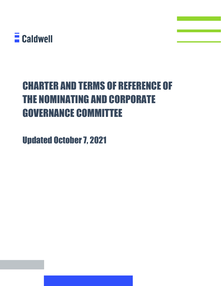

# CHARTER AND TERMS OF REFERENCE OF THE NOMINATING AND CORPORATE GOVERNANCE COMMITTEE

Updated October 7, 2021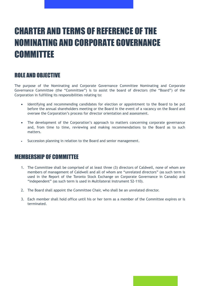# CHARTER AND TERMS OF REFERENCE OF THE NOMINATING AND CORPORATE GOVERNANCE **COMMITTEE**

### ROLE AND OBJECTIVE

The purpose of the Nominating and Corporate Governance Committee Nominating and Corporate Governance Committee (the "Committee") is to assist the board of directors (the "Board") of the Corporation in fulfilling its responsibilities relating to:

- Identifying and recommending candidates for election or appointment to the Board to be put before the annual shareholders meeting or the Board in the event of a vacancy on the Board and oversee the Corporation's process for director orientation and assessment.
- The development of the Corporation's approach to matters concerning corporate governance and, from time to time, reviewing and making recommendations to the Board as to such matters.
- Succession planning in relation to the Board and senior management.

#### MEMBERSHIP OF COMMITTEE

- 1. The Committee shall be comprised of at least three (3) directors of Caldwell, none of whom are members of management of Caldwell and all of whom are "unrelated directors" (as such term is used in the Report of the Toronto Stock Exchange on Corporate Governance in Canada) and "independent" (as such term is used in Multilateral Instrument 52-110).
- 2. The Board shall appoint the Committee Chair, who shall be an unrelated director.
- 3. Each member shall hold office until his or her term as a member of the Committee expires or is terminated.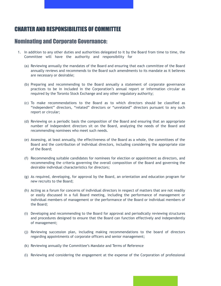### CHARTER AND RESPONSIBILITIES OF COMMITTEE

#### Nominating and Corporate Governance:

- 1. In addition to any other duties and authorities delegated to it by the Board from time to time, the Committee will have the authority and responsibility for
	- (a) Reviewing annually the mandates of the Board and ensuring that each committee of the Board annually reviews and recommends to the Board such amendments to its mandate as it believes are necessary or desirable;
	- (b) Preparing and recommending to the Board annually a statement of corporate governance practices to be in included in the Corporation's annual report or information circular as required by the Toronto Stock Exchange and any other regulatory authority;
	- (c) To make recommendations to the Board as to which directors should be classified as "independent" directors, "related" directors or "unrelated" directors pursuant to any such report or circular;
	- (d) Reviewing on a periodic basis the composition of the Board and ensuring that an appropriate number of independent directors sit on the Board, analyzing the needs of the Board and recommending nominees who meet such needs.
	- (e) Assessing, at least annually, the effectiveness of the Board as a whole, the committees of the Board and the contribution of individual directors, including considering the appropriate size of the Board;
	- (f) Recommending suitable candidates for nominees for election or appointment as directors, and recommending the criteria governing the overall composition of the Board and governing the desirable individual characteristics for directors;
	- (g) As required, developing, for approval by the Board, an orientation and education program for new recruits to the Board;
	- (h) Acting as a forum for concerns of individual directors in respect of matters that are not readily or easily discussed in a full Board meeting, including the performance of management or individual members of management or the performance of the Board or individual members of the Board;
	- (i) Developing and recommending to the Board for approval and periodically reviewing structures and procedures designed to ensure that the Board can function effectively and independently of management;
	- (j) Reviewing succession plan, including making recommendations to the board of directors regarding appointments of corporate officers and senior management;
	- (k) Reviewing annually the Committee's Mandate and Terms of Reference
	- (l) Reviewing and considering the engagement at the expense of the Corporation of professional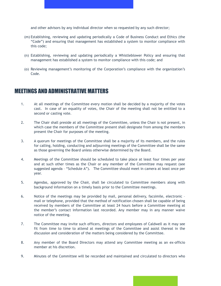and other advisors by any individual director when so requested by any such director;

- (m) Establishing, reviewing and updating periodically a Code of Business Conduct and Ethics (the "Code") and ensuring that management has established a system to monitor compliance with this code;
- (n) Establishing, reviewing and updating periodically a Whistleblower Policy and ensuring that management has established a system to monitor compliance with this code; and
- (o) Reviewing management's monitoring of the Corporation's compliance with the organization's Code.

#### MEETINGS AND ADMINISTRATIVE MATTERS

- 1. At all meetings of the Committee every motion shall be decided by a majority of the votes cast. In case of an equality of votes, the Chair of the meeting shall not be entitled to a second or casting vote.
- 2. The Chair shall preside at all meetings of the Committee, unless the Chair is not present, in which case the members of the Committee present shall designate from among the members present the Chair for purposes of the meeting.
- 3. A quorum for meetings of the Committee shall be a majority of its members, and the rules for calling, holding, conducting and adjourning meetings of the Committee shall be the same as those governing the Board unless otherwise determined by the Board.
- 4. Meetings of the Committee should be scheduled to take place at least four times per year and at such other times as the Chair or any member of the Committee may request (see suggested agenda – "Schedule A"). The Committee should meet in camera at least once per year.
- 5. Agendas, approved by the Chair, shall be circulated to Committee members along with background information on a timely basis prior to the Committee meetings.
- 6. Notice of the meetings may be provided by mail, personal delivery, facsimile, electronic mail or telephone, provided that the method of notification chosen shall be capable of being received by members of the Committee at least 24 hours before a Committee meeting at the member's contact information last recorded. Any member may in any manner waive notice of the meeting.
- 7. The Committee may invite such officers, directors and employees of Caldwell as it may see fit from time to time to attend at meetings of the Committee and assist thereat in the discussion and consideration of the matters being considered by the Committee.
- 8. Any member of the Board Directors may attend any Committee meeting as an ex-officio member at his discretion.
- 9. Minutes of the Committee will be recorded and maintained and circulated to directors who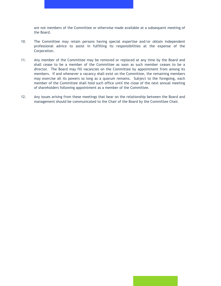are not members of the Committee or otherwise made available at a subsequent meeting of the Board.

- 10. The Committee may retain persons having special expertise and/or obtain independent professional advice to assist in fulfilling its responsibilities at the expense of the Corporation.
- 11. Any member of the Committee may be removed or replaced at any time by the Board and shall cease to be a member of the Committee as soon as such member ceases to be a director. The Board may fill vacancies on the Committee by appointment from among its members. If and whenever a vacancy shall exist on the Committee, the remaining members may exercise all its powers so long as a quorum remains. Subject to the foregoing, each member of the Committee shall hold such office until the close of the next annual meeting of shareholders following appointment as a member of the Committee.
- 12. Any issues arising from these meetings that bear on the relationship between the Board and management should be communicated to the Chair of the Board by the Committee Chair.